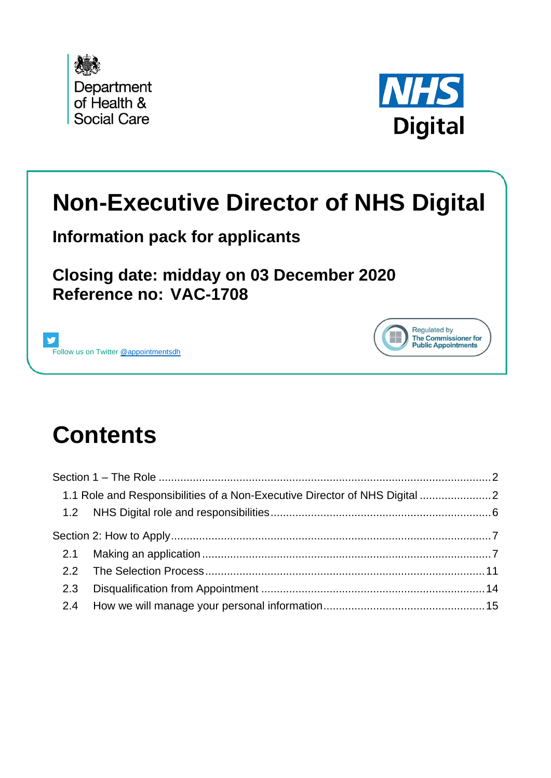



Regulated by The Commissioner for

**Public Appointments** 

# **Non-Executive Director of NHS Digital**

**Information pack for applicants**

**Closing date: midday on 03 December 2020 Reference no: VAC-1708**



# **Contents**

|     | 1.1 Role and Responsibilities of a Non-Executive Director of NHS Digital |  |
|-----|--------------------------------------------------------------------------|--|
|     |                                                                          |  |
|     |                                                                          |  |
|     |                                                                          |  |
|     |                                                                          |  |
| 2.3 |                                                                          |  |
|     |                                                                          |  |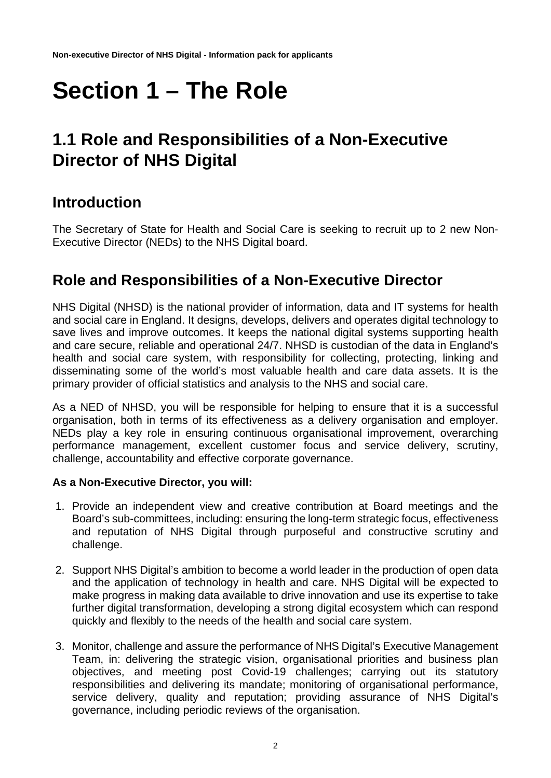# <span id="page-1-0"></span>**Section 1 – The Role**

# <span id="page-1-1"></span>**1.1 Role and Responsibilities of a Non-Executive Director of NHS Digital**

# **Introduction**

The Secretary of State for Health and Social Care is seeking to recruit up to 2 new Non-Executive Director (NEDs) to the NHS Digital board.

# **Role and Responsibilities of a Non-Executive Director**

NHS Digital (NHSD) is the national provider of information, data and IT systems for health and social care in England. It designs, develops, delivers and operates digital technology to save lives and improve outcomes. It keeps the national digital systems supporting health and care secure, reliable and operational 24/7. NHSD is custodian of the data in England's health and social care system, with responsibility for collecting, protecting, linking and disseminating some of the world's most valuable health and care data assets. It is the primary provider of official statistics and analysis to the NHS and social care.

As a NED of NHSD, you will be responsible for helping to ensure that it is a successful organisation, both in terms of its effectiveness as a delivery organisation and employer. NEDs play a key role in ensuring continuous organisational improvement, overarching performance management, excellent customer focus and service delivery, scrutiny, challenge, accountability and effective corporate governance.

#### **As a Non-Executive Director, you will:**

- 1. Provide an independent view and creative contribution at Board meetings and the Board's sub-committees, including: ensuring the long-term strategic focus, effectiveness and reputation of NHS Digital through purposeful and constructive scrutiny and challenge.
- 2. Support NHS Digital's ambition to become a world leader in the production of open data and the application of technology in health and care. NHS Digital will be expected to make progress in making data available to drive innovation and use its expertise to take further digital transformation, developing a strong digital ecosystem which can respond quickly and flexibly to the needs of the health and social care system.
- 3. Monitor, challenge and assure the performance of NHS Digital's Executive Management Team, in: delivering the strategic vision, organisational priorities and business plan objectives, and meeting post Covid-19 challenges; carrying out its statutory responsibilities and delivering its mandate; monitoring of organisational performance, service delivery, quality and reputation; providing assurance of NHS Digital's governance, including periodic reviews of the organisation.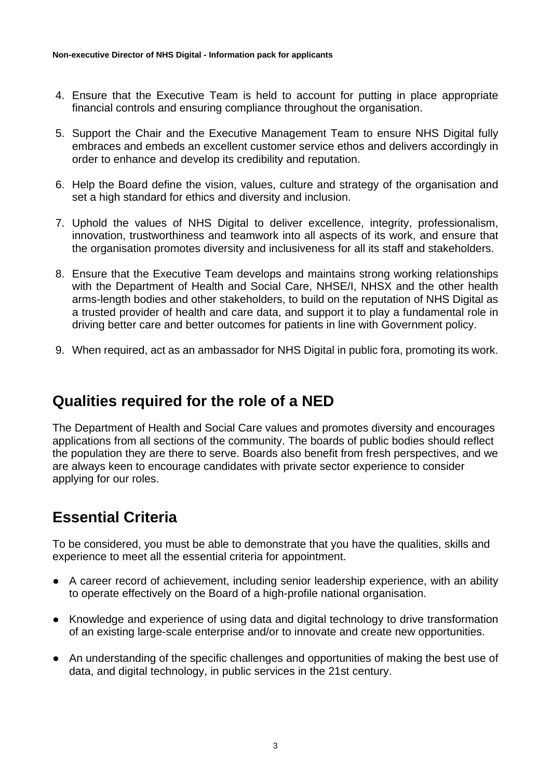- 4. Ensure that the Executive Team is held to account for putting in place appropriate financial controls and ensuring compliance throughout the organisation.
- 5. Support the Chair and the Executive Management Team to ensure NHS Digital fully embraces and embeds an excellent customer service ethos and delivers accordingly in order to enhance and develop its credibility and reputation.
- 6. Help the Board define the vision, values, culture and strategy of the organisation and set a high standard for ethics and diversity and inclusion.
- 7. Uphold the values of NHS Digital to deliver excellence, integrity, professionalism, innovation, trustworthiness and teamwork into all aspects of its work, and ensure that the organisation promotes diversity and inclusiveness for all its staff and stakeholders.
- 8. Ensure that the Executive Team develops and maintains strong working relationships with the Department of Health and Social Care, NHSE/I, NHSX and the other health arms-length bodies and other stakeholders, to build on the reputation of NHS Digital as a trusted provider of health and care data, and support it to play a fundamental role in driving better care and better outcomes for patients in line with Government policy.
- 9. When required, act as an ambassador for NHS Digital in public fora, promoting its work.

# **Qualities required for the role of a NED**

The Department of Health and Social Care values and promotes diversity and encourages applications from all sections of the community. The boards of public bodies should reflect the population they are there to serve. Boards also benefit from fresh perspectives, and we are always keen to encourage candidates with private sector experience to consider applying for our roles.

### **Essential Criteria**

To be considered, you must be able to demonstrate that you have the qualities, skills and experience to meet all the essential criteria for appointment.

- A career record of achievement, including senior leadership experience, with an ability to operate effectively on the Board of a high-profile national organisation.
- Knowledge and experience of using data and digital technology to drive transformation of an existing large-scale enterprise and/or to innovate and create new opportunities.
- An understanding of the specific challenges and opportunities of making the best use of data, and digital technology, in public services in the 21st century.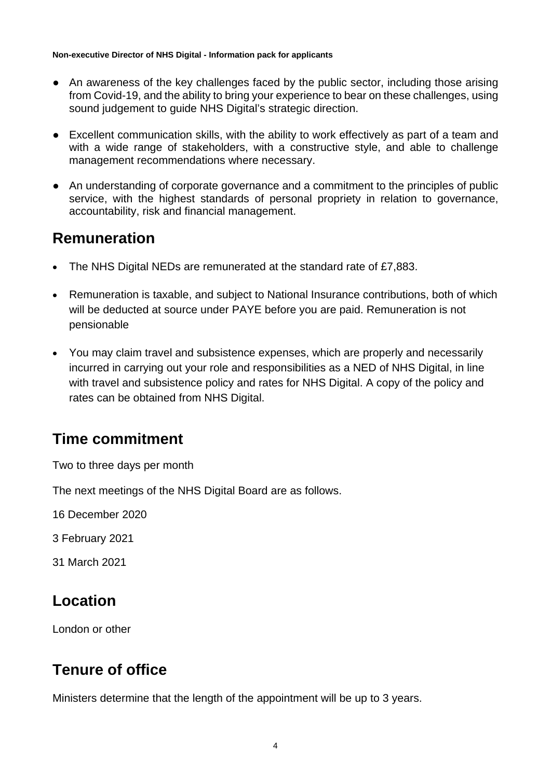- An awareness of the key challenges faced by the public sector, including those arising from Covid-19, and the ability to bring your experience to bear on these challenges, using sound judgement to guide NHS Digital's strategic direction.
- Excellent communication skills, with the ability to work effectively as part of a team and with a wide range of stakeholders, with a constructive style, and able to challenge management recommendations where necessary.
- An understanding of corporate governance and a commitment to the principles of public service, with the highest standards of personal propriety in relation to governance, accountability, risk and financial management.

### **Remuneration**

- The NHS Digital NEDs are remunerated at the standard rate of £7,883.
- Remuneration is taxable, and subject to National Insurance contributions, both of which will be deducted at source under PAYE before you are paid. Remuneration is not pensionable
- You may claim travel and subsistence expenses, which are properly and necessarily incurred in carrying out your role and responsibilities as a NED of NHS Digital, in line with travel and subsistence policy and rates for NHS Digital. A copy of the policy and rates can be obtained from NHS Digital.

# **Time commitment**

Two to three days per month

The next meetings of the NHS Digital Board are as follows.

16 December 2020

3 February 2021

31 March 2021

### **Location**

London or other

# **Tenure of office**

Ministers determine that the length of the appointment will be up to 3 years.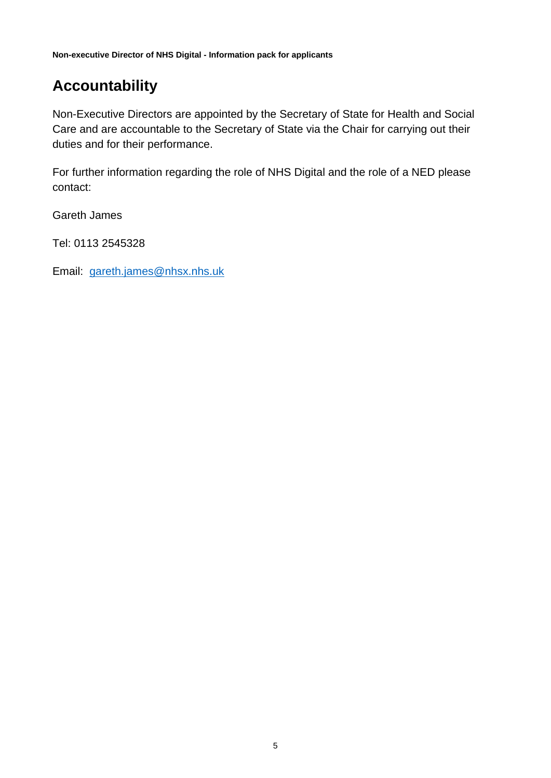# **Accountability**

Non-Executive Directors are appointed by the Secretary of State for Health and Social Care and are accountable to the Secretary of State via the Chair for carrying out their duties and for their performance.

For further information regarding the role of NHS Digital and the role of a NED please contact:

Gareth James

Tel: 0113 2545328

Email: [gareth.james@nhsx.nhs.uk](mailto:gareth.james@nhsx.nhs.uk)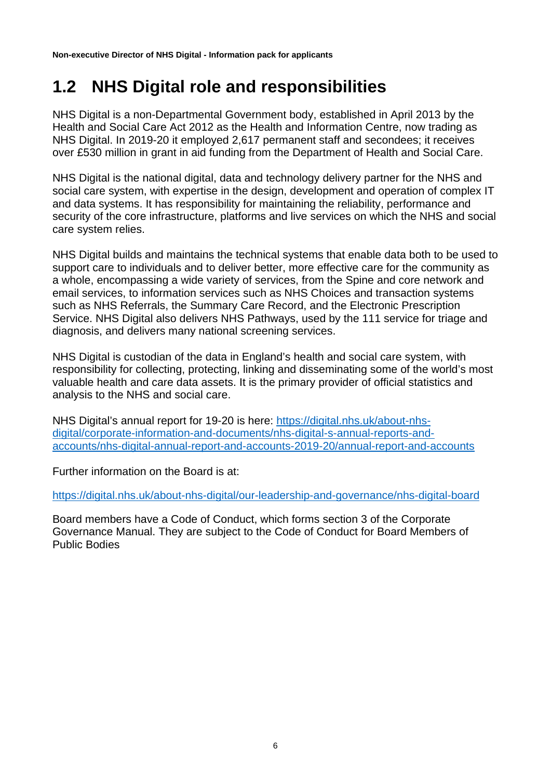# <span id="page-5-0"></span>**1.2 NHS Digital role and responsibilities**

NHS Digital is a non-Departmental Government body, established in April 2013 by the Health and Social Care Act 2012 as the Health and Information Centre, now trading as NHS Digital. In 2019-20 it employed 2,617 permanent staff and secondees; it receives over £530 million in grant in aid funding from the Department of Health and Social Care.

NHS Digital is the national digital, data and technology delivery partner for the NHS and social care system, with expertise in the design, development and operation of complex IT and data systems. It has responsibility for maintaining the reliability, performance and security of the core infrastructure, platforms and live services on which the NHS and social care system relies.

NHS Digital builds and maintains the technical systems that enable data both to be used to support care to individuals and to deliver better, more effective care for the community as a whole, encompassing a wide variety of services, from the Spine and core network and email services, to information services such as NHS Choices and transaction systems such as NHS Referrals, the Summary Care Record, and the Electronic Prescription Service. NHS Digital also delivers NHS Pathways, used by the 111 service for triage and diagnosis, and delivers many national screening services.

NHS Digital is custodian of the data in England's health and social care system, with responsibility for collecting, protecting, linking and disseminating some of the world's most valuable health and care data assets. It is the primary provider of official statistics and analysis to the NHS and social care.

NHS Digital's annual report for 19-20 is here: [https://digital.nhs.uk/about-nhs](https://digital.nhs.uk/about-nhs-digital/corporate-information-and-documents/nhs-digital-s-annual-reports-and-accounts/nhs-digital-annual-report-and-accounts-2019-20/annual-report-and-accounts)[digital/corporate-information-and-documents/nhs-digital-s-annual-reports-and](https://digital.nhs.uk/about-nhs-digital/corporate-information-and-documents/nhs-digital-s-annual-reports-and-accounts/nhs-digital-annual-report-and-accounts-2019-20/annual-report-and-accounts)[accounts/nhs-digital-annual-report-and-accounts-2019-20/annual-report-and-accounts](https://digital.nhs.uk/about-nhs-digital/corporate-information-and-documents/nhs-digital-s-annual-reports-and-accounts/nhs-digital-annual-report-and-accounts-2019-20/annual-report-and-accounts)

Further information on the Board is at:

<https://digital.nhs.uk/about-nhs-digital/our-leadership-and-governance/nhs-digital-board>

Board members have a Code of Conduct, which forms section 3 of the Corporate Governance Manual. They are subject to the Code of Conduct for Board Members of Public Bodies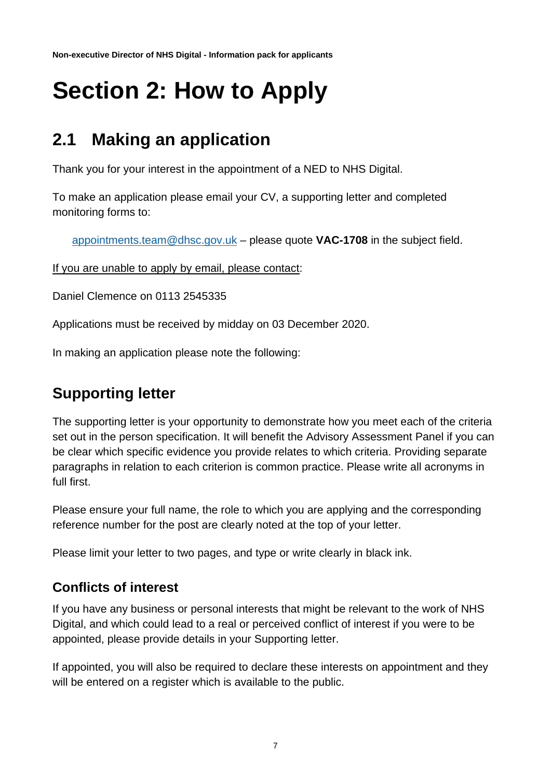# <span id="page-6-0"></span>**Section 2: How to Apply**

# <span id="page-6-1"></span>**2.1 Making an application**

Thank you for your interest in the appointment of a NED to NHS Digital.

To make an application please email your CV, a supporting letter and completed monitoring forms to:

[appointments.team@dhsc.gov.uk](mailto:appointments.team@dhsc.gov.uk) – please quote **VAC-1708** in the subject field.

If you are unable to apply by email, please contact:

Daniel Clemence on 0113 2545335

Applications must be received by midday on 03 December 2020.

In making an application please note the following:

# **Supporting letter**

The supporting letter is your opportunity to demonstrate how you meet each of the criteria set out in the person specification. It will benefit the Advisory Assessment Panel if you can be clear which specific evidence you provide relates to which criteria. Providing separate paragraphs in relation to each criterion is common practice. Please write all acronyms in full first.

Please ensure your full name, the role to which you are applying and the corresponding reference number for the post are clearly noted at the top of your letter.

Please limit your letter to two pages, and type or write clearly in black ink.

### **Conflicts of interest**

If you have any business or personal interests that might be relevant to the work of NHS Digital, and which could lead to a real or perceived conflict of interest if you were to be appointed, please provide details in your Supporting letter.

If appointed, you will also be required to declare these interests on appointment and they will be entered on a register which is available to the public.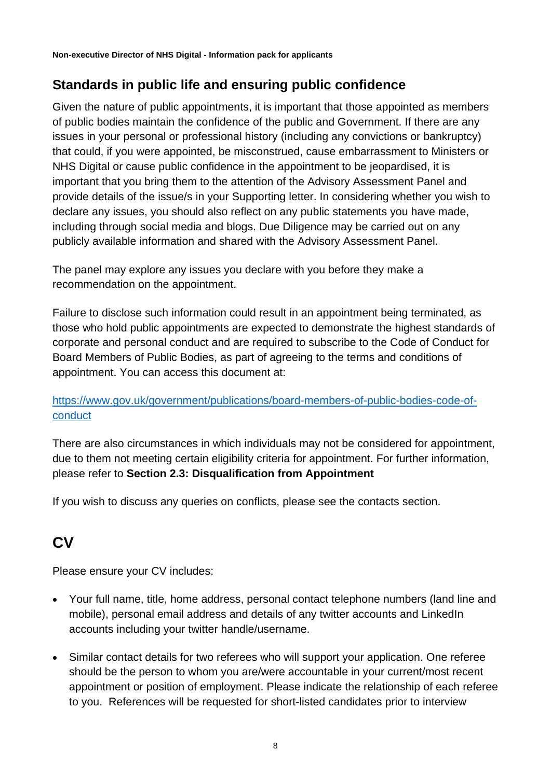### **Standards in public life and ensuring public confidence**

Given the nature of public appointments, it is important that those appointed as members of public bodies maintain the confidence of the public and Government. If there are any issues in your personal or professional history (including any convictions or bankruptcy) that could, if you were appointed, be misconstrued, cause embarrassment to Ministers or NHS Digital or cause public confidence in the appointment to be jeopardised, it is important that you bring them to the attention of the Advisory Assessment Panel and provide details of the issue/s in your Supporting letter. In considering whether you wish to declare any issues, you should also reflect on any public statements you have made, including through social media and blogs. Due Diligence may be carried out on any publicly available information and shared with the Advisory Assessment Panel.

The panel may explore any issues you declare with you before they make a recommendation on the appointment.

Failure to disclose such information could result in an appointment being terminated, as those who hold public appointments are expected to demonstrate the highest standards of corporate and personal conduct and are required to subscribe to the Code of Conduct for Board Members of Public Bodies, as part of agreeing to the terms and conditions of appointment. You can access this document at:

#### [https://www.gov.uk/government/publications/board-members-of-public-bodies-code-of](https://www.gov.uk/government/publications/board-members-of-public-bodies-code-of-conduct)[conduct](https://www.gov.uk/government/publications/board-members-of-public-bodies-code-of-conduct)

There are also circumstances in which individuals may not be considered for appointment, due to them not meeting certain eligibility criteria for appointment. For further information, please refer to **Section 2.3: Disqualification from Appointment**

If you wish to discuss any queries on conflicts, please see the contacts section.

# **CV**

Please ensure your CV includes:

- Your full name, title, home address, personal contact telephone numbers (land line and mobile), personal email address and details of any twitter accounts and LinkedIn accounts including your twitter handle/username.
- Similar contact details for two referees who will support your application. One referee should be the person to whom you are/were accountable in your current/most recent appointment or position of employment. Please indicate the relationship of each referee to you. References will be requested for short-listed candidates prior to interview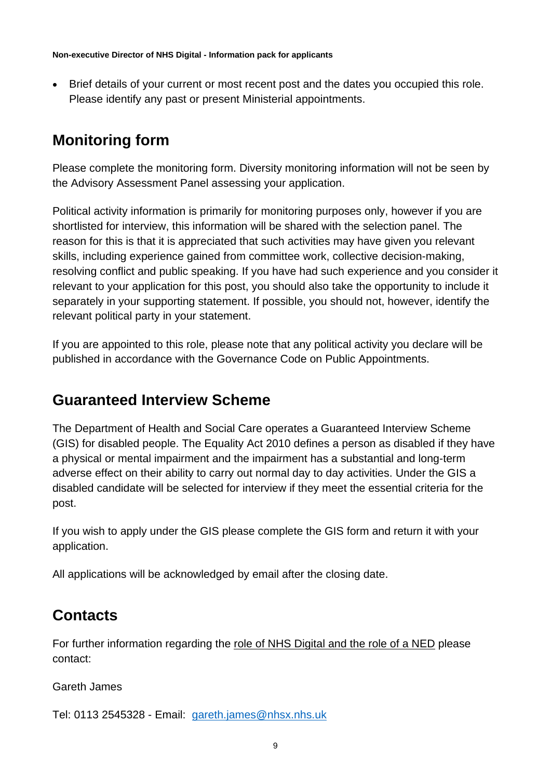• Brief details of your current or most recent post and the dates you occupied this role. Please identify any past or present Ministerial appointments.

# **Monitoring form**

Please complete the monitoring form. Diversity monitoring information will not be seen by the Advisory Assessment Panel assessing your application.

Political activity information is primarily for monitoring purposes only, however if you are shortlisted for interview, this information will be shared with the selection panel. The reason for this is that it is appreciated that such activities may have given you relevant skills, including experience gained from committee work, collective decision-making, resolving conflict and public speaking. If you have had such experience and you consider it relevant to your application for this post, you should also take the opportunity to include it separately in your supporting statement. If possible, you should not, however, identify the relevant political party in your statement.

If you are appointed to this role, please note that any political activity you declare will be published in accordance with the Governance Code on Public Appointments.

### **Guaranteed Interview Scheme**

The Department of Health and Social Care operates a Guaranteed Interview Scheme (GIS) for disabled people. The Equality Act 2010 defines a person as disabled if they have a physical or mental impairment and the impairment has a substantial and long-term adverse effect on their ability to carry out normal day to day activities. Under the GIS a disabled candidate will be selected for interview if they meet the essential criteria for the post.

If you wish to apply under the GIS please complete the GIS form and return it with your application.

All applications will be acknowledged by email after the closing date.

# **Contacts**

For further information regarding the role of NHS Digital and the role of a NED please contact:

Gareth James

Tel: 0113 2545328 - Email: [gareth.james@nhsx.nhs.uk](mailto:gareth.james@nhsx.nhs.uk)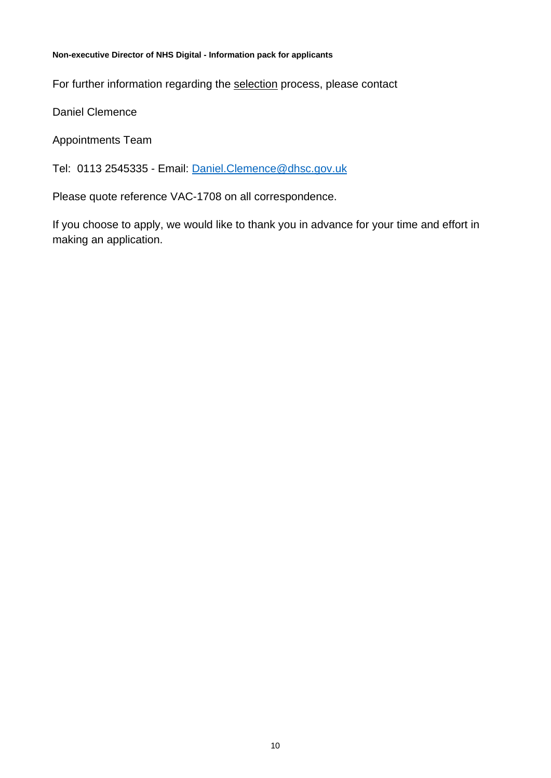For further information regarding the selection process, please contact

Daniel Clemence

Appointments Team

Tel: 0113 2545335 - Email: [Daniel.Clemence@dhsc.gov.uk](mailto:Daniel.Clemence@dhsc.gov.uk)

Please quote reference VAC-1708 on all correspondence.

If you choose to apply, we would like to thank you in advance for your time and effort in making an application.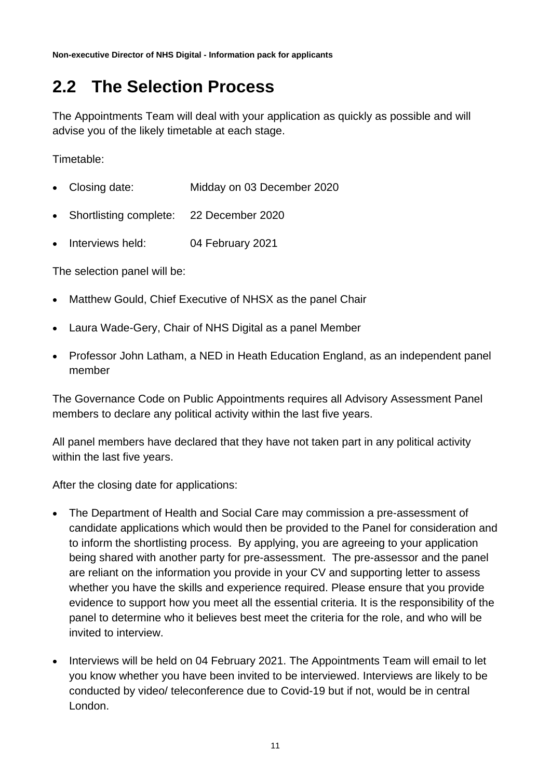# <span id="page-10-0"></span>**2.2 The Selection Process**

The Appointments Team will deal with your application as quickly as possible and will advise you of the likely timetable at each stage.

Timetable:

- Closing date: Midday on 03 December 2020
- Shortlisting complete: 22 December 2020
- Interviews held: 04 February 2021

The selection panel will be:

- Matthew Gould, Chief Executive of NHSX as the panel Chair
- Laura Wade-Gery, Chair of NHS Digital as a panel Member
- Professor John Latham, a NED in Heath Education England, as an independent panel member

The Governance Code on Public Appointments requires all Advisory Assessment Panel members to declare any political activity within the last five years.

All panel members have declared that they have not taken part in any political activity within the last five years.

After the closing date for applications:

- The Department of Health and Social Care may commission a pre-assessment of candidate applications which would then be provided to the Panel for consideration and to inform the shortlisting process. By applying, you are agreeing to your application being shared with another party for pre-assessment. The pre-assessor and the panel are reliant on the information you provide in your CV and supporting letter to assess whether you have the skills and experience required. Please ensure that you provide evidence to support how you meet all the essential criteria. It is the responsibility of the panel to determine who it believes best meet the criteria for the role, and who will be invited to interview.
- Interviews will be held on 04 February 2021. The Appointments Team will email to let you know whether you have been invited to be interviewed. Interviews are likely to be conducted by video/ teleconference due to Covid-19 but if not, would be in central London.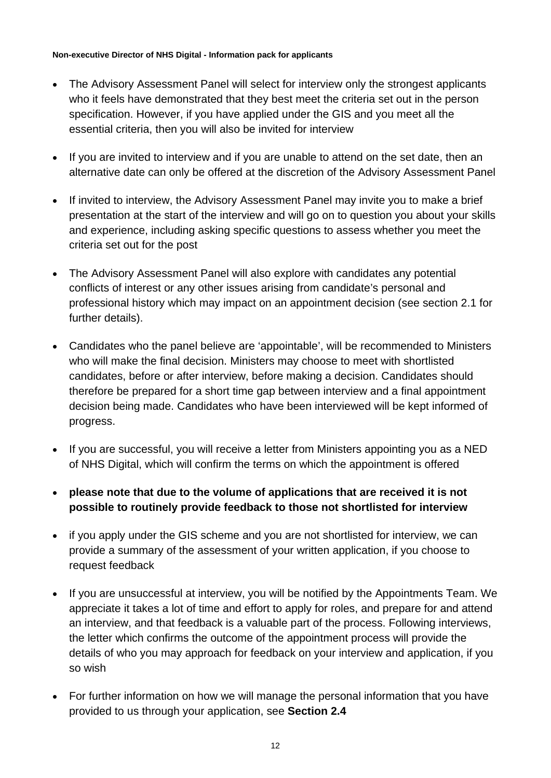- The Advisory Assessment Panel will select for interview only the strongest applicants who it feels have demonstrated that they best meet the criteria set out in the person specification. However, if you have applied under the GIS and you meet all the essential criteria, then you will also be invited for interview
- If you are invited to interview and if you are unable to attend on the set date, then an alternative date can only be offered at the discretion of the Advisory Assessment Panel
- If invited to interview, the Advisory Assessment Panel may invite you to make a brief presentation at the start of the interview and will go on to question you about your skills and experience, including asking specific questions to assess whether you meet the criteria set out for the post
- The Advisory Assessment Panel will also explore with candidates any potential conflicts of interest or any other issues arising from candidate's personal and professional history which may impact on an appointment decision (see section 2.1 for further details).
- Candidates who the panel believe are 'appointable', will be recommended to Ministers who will make the final decision. Ministers may choose to meet with shortlisted candidates, before or after interview, before making a decision. Candidates should therefore be prepared for a short time gap between interview and a final appointment decision being made. Candidates who have been interviewed will be kept informed of progress.
- If you are successful, you will receive a letter from Ministers appointing you as a NED of NHS Digital, which will confirm the terms on which the appointment is offered
- **please note that due to the volume of applications that are received it is not possible to routinely provide feedback to those not shortlisted for interview**
- if you apply under the GIS scheme and you are not shortlisted for interview, we can provide a summary of the assessment of your written application, if you choose to request feedback
- If you are unsuccessful at interview, you will be notified by the Appointments Team. We appreciate it takes a lot of time and effort to apply for roles, and prepare for and attend an interview, and that feedback is a valuable part of the process. Following interviews, the letter which confirms the outcome of the appointment process will provide the details of who you may approach for feedback on your interview and application, if you so wish
- For further information on how we will manage the personal information that you have provided to us through your application, see **Section 2.4**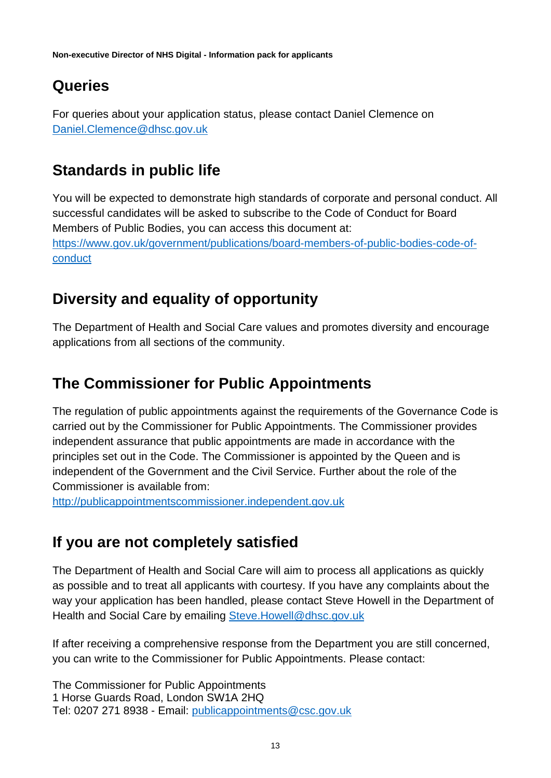# **Queries**

For queries about your application status, please contact Daniel Clemence on [Daniel.Clemence@dhsc.gov.uk](mailto:Daniel.Clemence@dhsc.gov.uk)

# **Standards in public life**

You will be expected to demonstrate high standards of corporate and personal conduct. All successful candidates will be asked to subscribe to the Code of Conduct for Board Members of Public Bodies, you can access this document at: [https://www.gov.uk/government/publications/board-members-of-public-bodies-code-of](https://www.gov.uk/government/publications/board-members-of-public-bodies-code-of-conduct)[conduct](https://www.gov.uk/government/publications/board-members-of-public-bodies-code-of-conduct)

# **Diversity and equality of opportunity**

The Department of Health and Social Care values and promotes diversity and encourage applications from all sections of the community.

# **The Commissioner for Public Appointments**

The regulation of public appointments against the requirements of the Governance Code is carried out by the Commissioner for Public Appointments. The Commissioner provides independent assurance that public appointments are made in accordance with the principles set out in the Code. The Commissioner is appointed by the Queen and is independent of the Government and the Civil Service. Further about the role of the Commissioner is available from:

[http://publicappointmentscommissioner.independent.gov.uk](http://publicappointmentscommissioner.independent.gov.uk/) 

# **If you are not completely satisfied**

The Department of Health and Social Care will aim to process all applications as quickly as possible and to treat all applicants with courtesy. If you have any complaints about the way your application has been handled, please contact Steve Howell in the Department of Health and Social Care by emailing [Steve.Howell@dhsc.gov.uk](mailto:Steve.Howell@dhsc.gov.uk)

If after receiving a comprehensive response from the Department you are still concerned, you can write to the Commissioner for Public Appointments. Please contact:

The Commissioner for Public Appointments 1 Horse Guards Road, London SW1A 2HQ Tel: 0207 271 8938 - Email: [publicappointments@csc.gov.uk](mailto:publicappointments@csc.gsi.gov.uk)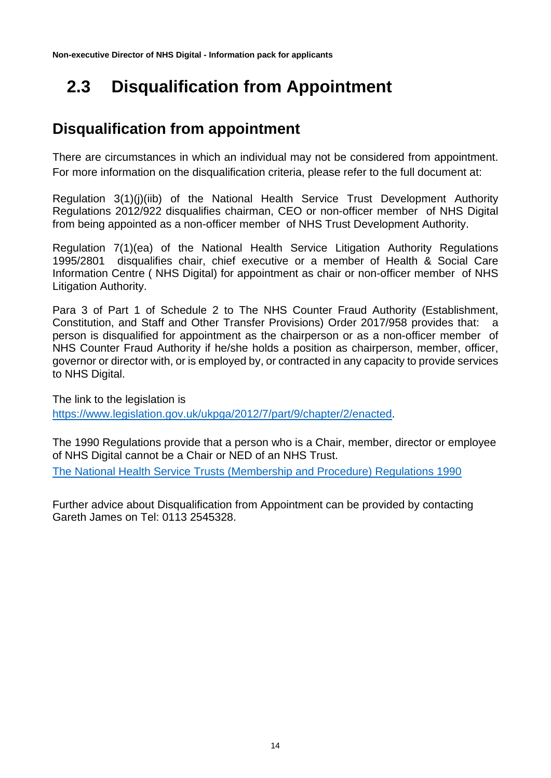# <span id="page-13-0"></span> **2.3 Disqualification from Appointment**

# **Disqualification from appointment**

There are circumstances in which an individual may not be considered from appointment. For more information on the disqualification criteria, please refer to the full document at:

Regulation 3(1)(j)(iib) of the National Health Service Trust Development Authority Regulations 2012/922 disqualifies chairman, CEO or non-officer member of NHS Digital from being appointed as a non-officer member of NHS Trust Development Authority.

Regulation 7(1)(ea) of the National Health Service Litigation Authority Regulations 1995/2801 disqualifies chair, chief executive or a member of Health & Social Care Information Centre ( NHS Digital) for appointment as chair or non-officer member of NHS Litigation Authority.

Para 3 of Part 1 of Schedule 2 to The NHS Counter Fraud Authority (Establishment, Constitution, and Staff and Other Transfer Provisions) Order 2017/958 provides that: a person is disqualified for appointment as the chairperson or as a non-officer member of NHS Counter Fraud Authority if he/she holds a position as chairperson, member, officer, governor or director with, or is employed by, or contracted in any capacity to provide services to NHS Digital.

The link to the legislation is [https://www.legislation.gov.uk/ukpga/2012/7/part/9/chapter/2/enacted.](https://www.legislation.gov.uk/ukpga/2012/7/part/9/chapter/2/enacted)

The 1990 Regulations provide that a person who is a Chair, member, director or employee of NHS Digital cannot be a Chair or NED of an NHS Trust.

[The National Health Service Trusts \(Membership and Procedure\) Regulations 1990](https://www.legislation.gov.uk/uksi/1990/2024/regulation/11/made)

Further advice about Disqualification from Appointment can be provided by contacting Gareth James on Tel: 0113 2545328.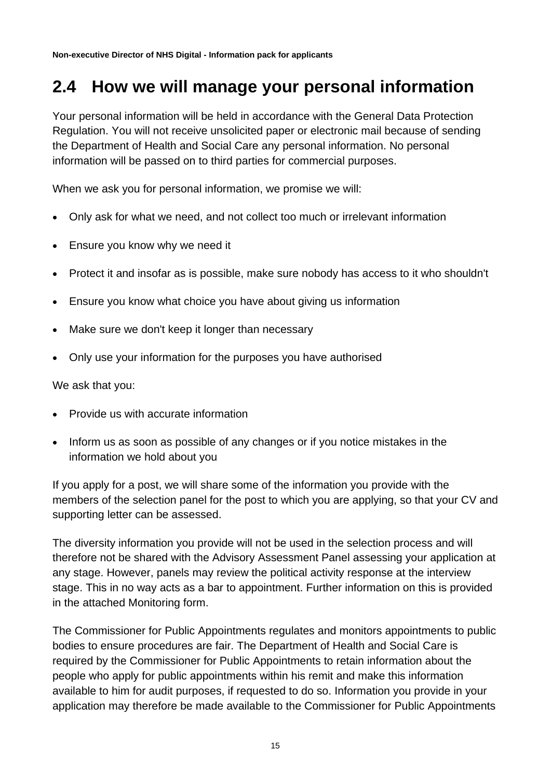# <span id="page-14-0"></span>**2.4 How we will manage your personal information**

Your personal information will be held in accordance with the General Data Protection Regulation. You will not receive unsolicited paper or electronic mail because of sending the Department of Health and Social Care any personal information. No personal information will be passed on to third parties for commercial purposes.

When we ask you for personal information, we promise we will:

- Only ask for what we need, and not collect too much or irrelevant information
- Ensure you know why we need it
- Protect it and insofar as is possible, make sure nobody has access to it who shouldn't
- Ensure you know what choice you have about giving us information
- Make sure we don't keep it longer than necessary
- Only use your information for the purposes you have authorised

We ask that you:

- Provide us with accurate information
- Inform us as soon as possible of any changes or if you notice mistakes in the information we hold about you

If you apply for a post, we will share some of the information you provide with the members of the selection panel for the post to which you are applying, so that your CV and supporting letter can be assessed.

The diversity information you provide will not be used in the selection process and will therefore not be shared with the Advisory Assessment Panel assessing your application at any stage. However, panels may review the political activity response at the interview stage. This in no way acts as a bar to appointment. Further information on this is provided in the attached Monitoring form.

The Commissioner for Public Appointments regulates and monitors appointments to public bodies to ensure procedures are fair. The Department of Health and Social Care is required by the Commissioner for Public Appointments to retain information about the people who apply for public appointments within his remit and make this information available to him for audit purposes, if requested to do so. Information you provide in your application may therefore be made available to the Commissioner for Public Appointments